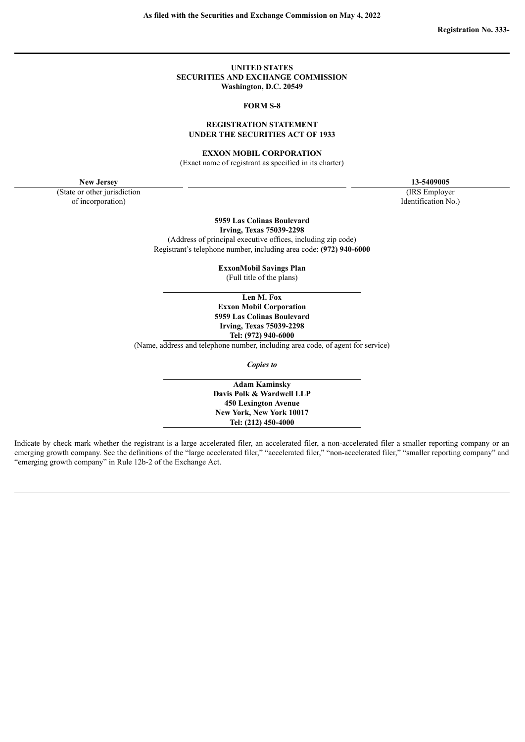#### **UNITED STATES SECURITIES AND EXCHANGE COMMISSION Washington, D.C. 20549**

#### **FORM S-8**

## **REGISTRATION STATEMENT UNDER THE SECURITIES ACT OF 1933**

#### **EXXON MOBIL CORPORATION**

(Exact name of registrant as specified in its charter)

**New Jersey 13-5409005**

(State or other jurisdiction of incorporation)

(IRS Employer Identification No.)

**5959 Las Colinas Boulevard Irving, Texas 75039-2298**

(Address of principal executive offices, including zip code) Registrant's telephone number, including area code: **(972) 940-6000**

**ExxonMobil Savings Plan**

(Full title of the plans)

**Len M. Fox Exxon Mobil Corporation 5959 Las Colinas Boulevard Irving, Texas 75039-2298 Tel: (972) 940-6000**

(Name, address and telephone number, including area code, of agent for service)

*Copies to*

**Adam Kaminsky Davis Polk & Wardwell LLP 450 Lexington Avenue New York, New York 10017 Tel: (212) 450-4000**

Indicate by check mark whether the registrant is a large accelerated filer, an accelerated filer, a non-accelerated filer a smaller reporting company or an emerging growth company. See the definitions of the "large accelerated filer," "accelerated filer," "smaller reporting company" and "emerging growth company" in Rule 12b-2 of the Exchange Act.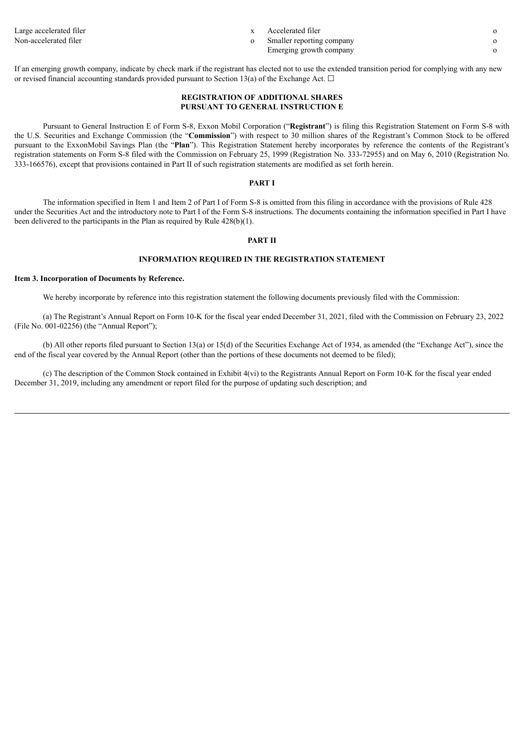Non-accelerated filer observed the system of Smaller reporting company of Smaller reporting company of  $\sim$ 

- Large accelerated filer only a subset of the set of the set of the set of the set of the set of the set of the set of the set of the set of the set of the set of the set of the set of the set of the set of the set of the s
	- Emerging growth company o
- -

If an emerging growth company, indicate by check mark if the registrant has elected not to use the extended transition period for complying with any new or revised financial accounting standards provided pursuant to Section 13(a) of the Exchange Act.  $\Box$ 

## **REGISTRATION OF ADDITIONAL SHARES PURSUANT TO GENERAL INSTRUCTION E**

Pursuant to General Instruction E of Form S-8, Exxon Mobil Corporation ("**Registrant**") is filing this Registration Statement on Form S-8 with the U.S. Securities and Exchange Commission (the "**Commission**") with respect to 30 million shares of the Registrant's Common Stock to be offered pursuant to the ExxonMobil Savings Plan (the "**Plan**"). This Registration Statement hereby incorporates by reference the contents of the Registrant's registration statements on Form S-8 filed with the Commission on February 25, 1999 (Registration No. 333-72955) and on May 6, 2010 (Registration No. 333-166576), except that provisions contained in Part II of such registration statements are modified as set forth herein.

### **PART I**

The information specified in Item 1 and Item 2 of Part I of Form S-8 is omitted from this filing in accordance with the provisions of Rule 428 under the Securities Act and the introductory note to Part I of the Form S-8 instructions. The documents containing the information specified in Part I have been delivered to the participants in the Plan as required by Rule 428(b)(1).

## **PART II**

## **INFORMATION REQUIRED IN THE REGISTRATION STATEMENT**

#### **Item 3. Incorporation of Documents by Reference.**

We hereby incorporate by reference into this registration statement the following documents previously filed with the Commission:

(a) The Registrant's Annual Report on Form 10-K for the fiscal year ended December 31, 2021, filed with the Commission on February 23, 2022 (File No. 001-02256) (the "Annual Report");

(b) All other reports filed pursuant to Section 13(a) or 15(d) of the Securities Exchange Act of 1934, as amended (the "Exchange Act"), since the end of the fiscal year covered by the Annual Report (other than the portions of these documents not deemed to be filed);

(c) The description of the Common Stock contained in Exhibit 4(vi) to the Registrants Annual Report on Form 10-K for the fiscal year ended December 31, 2019, including any amendment or report filed for the purpose of updating such description; and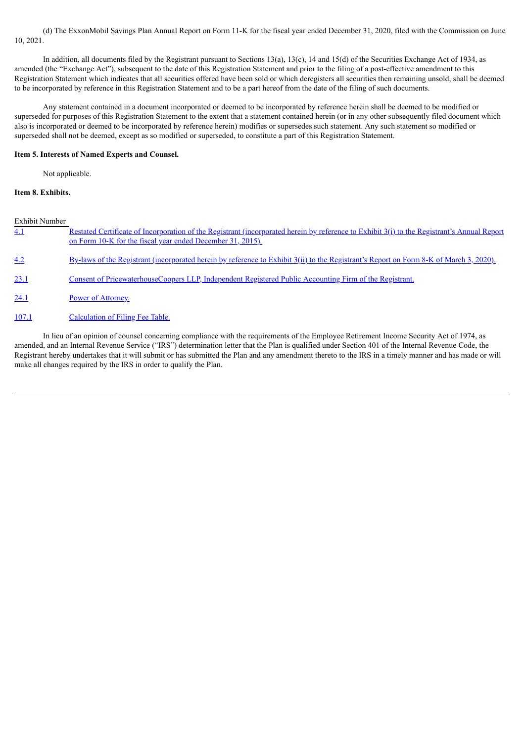(d) The ExxonMobil Savings Plan Annual Report on Form 11-K for the fiscal year ended December 31, 2020, filed with the Commission on June 10, 2021.

In addition, all documents filed by the Registrant pursuant to Sections 13(a), 13(c), 14 and 15(d) of the Securities Exchange Act of 1934, as amended (the "Exchange Act"), subsequent to the date of this Registration Statement and prior to the filing of a post-effective amendment to this Registration Statement which indicates that all securities offered have been sold or which deregisters all securities then remaining unsold, shall be deemed to be incorporated by reference in this Registration Statement and to be a part hereof from the date of the filing of such documents.

Any statement contained in a document incorporated or deemed to be incorporated by reference herein shall be deemed to be modified or superseded for purposes of this Registration Statement to the extent that a statement contained herein (or in any other subsequently filed document which also is incorporated or deemed to be incorporated by reference herein) modifies or supersedes such statement. Any such statement so modified or superseded shall not be deemed, except as so modified or superseded, to constitute a part of this Registration Statement.

#### **Item 5. Interests of Named Experts and Counsel.**

Not applicable.

## **Item 8. Exhibits.**

Exhibit Number

| 4.1   | Restated Certificate of Incorporation of the Registrant (incorporated herein by reference to Exhibit 3(i) to the Registrant's Annual Report<br>on Form 10-K for the fiscal year ended December 31, 2015). |
|-------|-----------------------------------------------------------------------------------------------------------------------------------------------------------------------------------------------------------|
| 4.2   | By-laws of the Registrant (incorporated herein by reference to Exhibit 3(ii) to the Registrant's Report on Form 8-K of March 3, 2020).                                                                    |
| 23.1  | Consent of PricewaterhouseCoopers LLP, Independent Registered Public Accounting Firm of the Registrant.                                                                                                   |
| 24.1  | Power of Attorney.                                                                                                                                                                                        |
| 107.1 | Calculation of Filing Fee Table.                                                                                                                                                                          |
|       |                                                                                                                                                                                                           |

In lieu of an opinion of counsel concerning compliance with the requirements of the Employee Retirement Income Security Act of 1974, as amended, and an Internal Revenue Service ("IRS") determination letter that the Plan is qualified under Section 401 of the Internal Revenue Code, the Registrant hereby undertakes that it will submit or has submitted the Plan and any amendment thereto to the IRS in a timely manner and has made or will make all changes required by the IRS in order to qualify the Plan.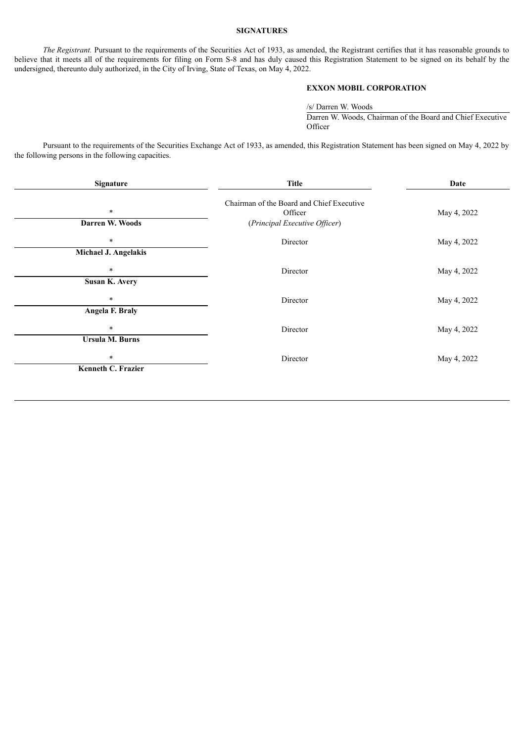## **SIGNATURES**

*The Registrant.* Pursuant to the requirements of the Securities Act of 1933, as amended, the Registrant certifies that it has reasonable grounds to believe that it meets all of the requirements for filing on Form S-8 and has duly caused this Registration Statement to be signed on its behalf by the undersigned, thereunto duly authorized, in the City of Irving, State of Texas, on May 4, 2022.

# **EXXON MOBIL CORPORATION**

/s/ Darren W. Woods Darren W. Woods, Chairman of the Board and Chief Executive **Officer** 

Pursuant to the requirements of the Securities Exchange Act of 1933, as amended, this Registration Statement has been signed on May 4, 2022 by the following persons in the following capacities.

| <b>Signature</b>                 | <b>Title</b>                                                                          | Date        |  |
|----------------------------------|---------------------------------------------------------------------------------------|-------------|--|
| $\ast$<br>Darren W. Woods        | Chairman of the Board and Chief Executive<br>Officer<br>(Principal Executive Officer) | May 4, 2022 |  |
| $\ast$<br>Michael J. Angelakis   | Director                                                                              | May 4, 2022 |  |
| $\ast$<br>Susan K. Avery         | Director                                                                              | May 4, 2022 |  |
| $\ast$<br>Angela F. Braly        | Director                                                                              | May 4, 2022 |  |
| $\ast$<br><b>Ursula M. Burns</b> | Director                                                                              | May 4, 2022 |  |
| $\ast$<br>Kenneth C. Frazier     | Director                                                                              | May 4, 2022 |  |
|                                  |                                                                                       |             |  |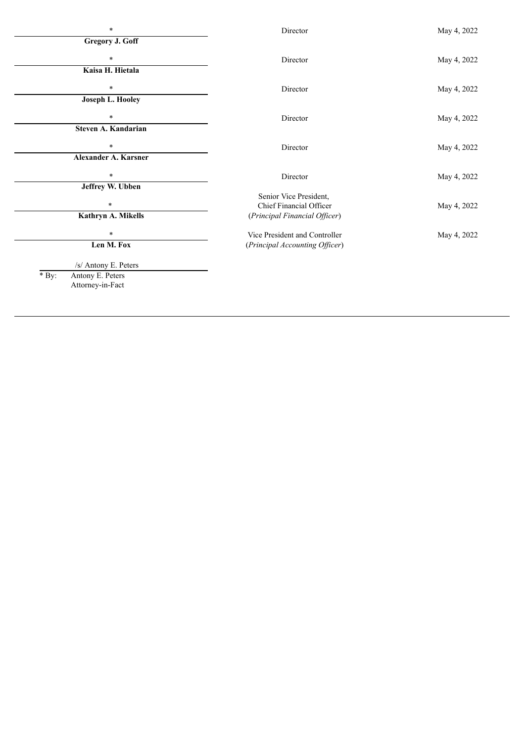| $\ast$                      | Director                       | May 4, 2022 |
|-----------------------------|--------------------------------|-------------|
| <b>Gregory J. Goff</b>      |                                |             |
| $\ast$                      | Director                       | May 4, 2022 |
| Kaisa H. Hietala            |                                |             |
| $\ast$                      | Director                       | May 4, 2022 |
| Joseph L. Hooley            |                                |             |
| $\ast$                      | Director                       | May 4, 2022 |
| Steven A. Kandarian         |                                |             |
| *                           | Director                       | May 4, 2022 |
| Alexander A. Karsner        |                                |             |
| $\ast$                      |                                |             |
| Jeffrey W. Ubben            | Director                       | May 4, 2022 |
|                             | Senior Vice President,         |             |
| $\ast$                      | Chief Financial Officer        | May 4, 2022 |
| Kathryn A. Mikells          | (Principal Financial Officer)  |             |
| $\ast$                      | Vice President and Controller  | May 4, 2022 |
| Len M. Fox                  | (Principal Accounting Officer) |             |
| /s/ Antony E. Peters        |                                |             |
| $*$ By:<br>Antony E. Peters |                                |             |
| Attorney-in-Fact            |                                |             |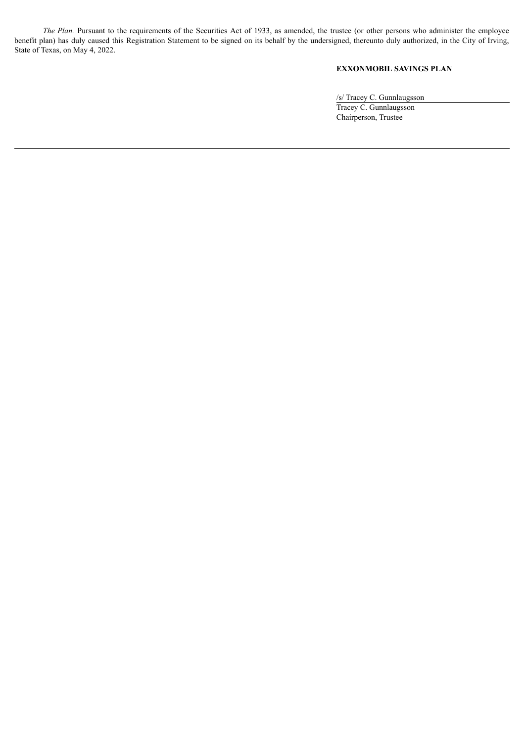*The Plan.* Pursuant to the requirements of the Securities Act of 1933, as amended, the trustee (or other persons who administer the employee benefit plan) has duly caused this Registration Statement to be signed on its behalf by the undersigned, thereunto duly authorized, in the City of Irving, State of Texas, on May 4, 2022.

# **EXXONMOBIL SAVINGS PLAN**

/s/ Tracey C. Gunnlaugsson Tracey C. Gunnlaugsson Chairperson, Trustee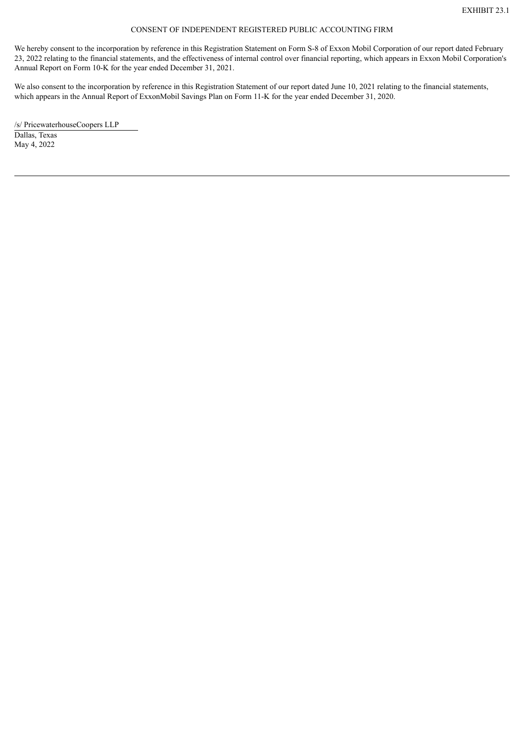## CONSENT OF INDEPENDENT REGISTERED PUBLIC ACCOUNTING FIRM

<span id="page-6-0"></span>We hereby consent to the incorporation by reference in this Registration Statement on Form S-8 of Exxon Mobil Corporation of our report dated February 23, 2022 relating to the financial statements, and the effectiveness of internal control over financial reporting, which appears in Exxon Mobil Corporation's Annual Report on Form 10-K for the year ended December 31, 2021.

We also consent to the incorporation by reference in this Registration Statement of our report dated June 10, 2021 relating to the financial statements, which appears in the Annual Report of ExxonMobil Savings Plan on Form 11-K for the year ended December 31, 2020.

/s/ PricewaterhouseCoopers LLP Dallas, Texas May 4, 2022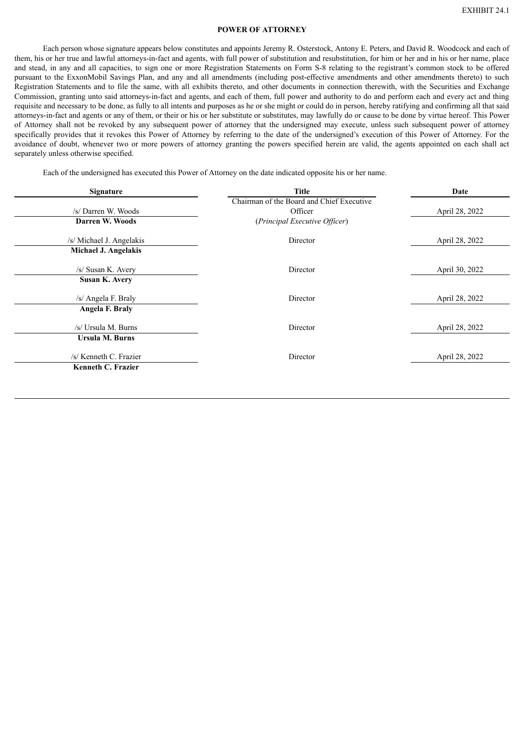#### **POWER OF ATTORNEY**

<span id="page-7-0"></span>Each person whose signature appears below constitutes and appoints Jeremy R. Osterstock, Antony E. Peters, and David R. Woodcock and each of them, his or her true and lawful attorneys-in-fact and agents, with full power of substitution and resubstitution, for him or her and in his or her name, place and stead, in any and all capacities, to sign one or more Registration Statements on Form S-8 relating to the registrant's common stock to be offered pursuant to the ExxonMobil Savings Plan, and any and all amendments (including post-effective amendments and other amendments thereto) to such Registration Statements and to file the same, with all exhibits thereto, and other documents in connection therewith, with the Securities and Exchange Commission, granting unto said attorneys-in-fact and agents, and each of them, full power and authority to do and perform each and every act and thing requisite and necessary to be done, as fully to all intents and purposes as he or she might or could do in person, hereby ratifying and confirming all that said attorneys-in-fact and agents or any of them, or their or his or her substitute or substitutes, may lawfully do or cause to be done by virtue hereof. This Power of Attorney shall not be revoked by any subsequent power of attorney that the undersigned may execute, unless such subsequent power of attorney specifically provides that it revokes this Power of Attorney by referring to the date of the undersigned's execution of this Power of Attorney. For the avoidance of doubt, whenever two or more powers of attorney granting the powers specified herein are valid, the agents appointed on each shall act separately unless otherwise specified.

Each of the undersigned has executed this Power of Attorney on the date indicated opposite his or her name.

| Signature                   | <b>Title</b>                              | Date           |  |
|-----------------------------|-------------------------------------------|----------------|--|
|                             | Chairman of the Board and Chief Executive |                |  |
| /s/ Darren W. Woods         | Officer                                   | April 28, 2022 |  |
| Darren W. Woods             | (Principal Executive Officer)             |                |  |
| /s/ Michael J. Angelakis    | Director                                  | April 28, 2022 |  |
| <b>Michael J. Angelakis</b> |                                           |                |  |
| /s/ Susan K. Avery          | Director                                  | April 30, 2022 |  |
| <b>Susan K. Avery</b>       |                                           |                |  |
| /s/ Angela F. Braly         | Director                                  | April 28, 2022 |  |
| Angela F. Braly             |                                           |                |  |
| /s/ Ursula M. Burns         | Director                                  | April 28, 2022 |  |
| Ursula M. Burns             |                                           |                |  |
| /s/ Kenneth C. Frazier      | Director                                  | April 28, 2022 |  |
| Kenneth C. Frazier          |                                           |                |  |
|                             |                                           |                |  |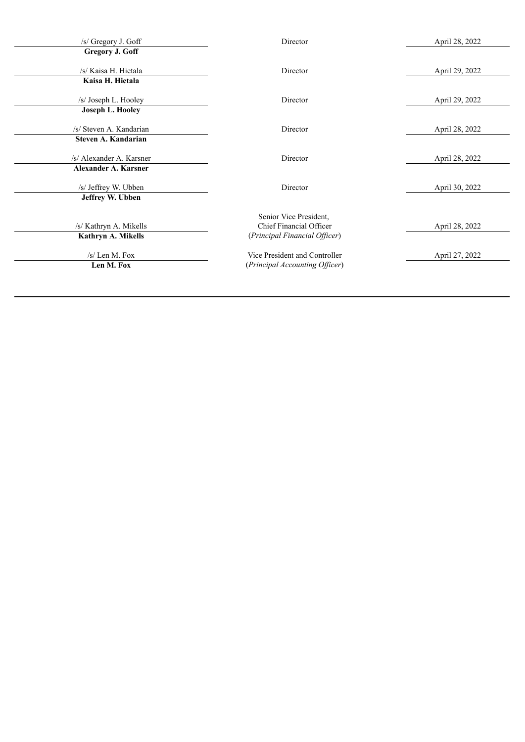| /s/ Gregory J. Goff         | Director                       | April 28, 2022 |
|-----------------------------|--------------------------------|----------------|
| Gregory J. Goff             |                                |                |
| /s/ Kaisa H. Hietala        | Director                       | April 29, 2022 |
| Kaisa H. Hietala            |                                |                |
| /s/ Joseph L. Hooley        | Director                       | April 29, 2022 |
| <b>Joseph L. Hooley</b>     |                                |                |
| /s/ Steven A. Kandarian     | Director                       | April 28, 2022 |
| Steven A. Kandarian         |                                |                |
| /s/ Alexander A. Karsner    | Director                       | April 28, 2022 |
| <b>Alexander A. Karsner</b> |                                |                |
| /s/ Jeffrey W. Ubben        | Director                       | April 30, 2022 |
| Jeffrey W. Ubben            |                                |                |
|                             | Senior Vice President,         |                |
| /s/ Kathryn A. Mikells      | Chief Financial Officer        | April 28, 2022 |
| Kathryn A. Mikells          | (Principal Financial Officer)  |                |
| $/s/$ Len M. Fox            | Vice President and Controller  | April 27, 2022 |
| Len M. Fox                  | (Principal Accounting Officer) |                |